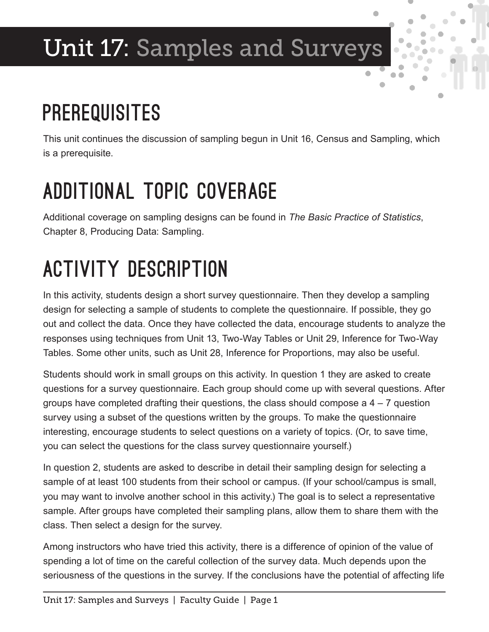# Unit 17: Samples and Surveys

## **PREREQUISITES**

This unit continues the discussion of sampling begun in Unit 16, Census and Sampling, which is a prerequisite.

#### Additional Topic Coverage

Additional coverage on sampling designs can be found in *The Basic Practice of Statistics*, Chapter 8, Producing Data: Sampling.

### Activity Description

In this activity, students design a short survey questionnaire. Then they develop a sampling design for selecting a sample of students to complete the questionnaire. If possible, they go out and collect the data. Once they have collected the data, encourage students to analyze the responses using techniques from Unit 13, Two-Way Tables or Unit 29, Inference for Two-Way Tables. Some other units, such as Unit 28, Inference for Proportions, may also be useful.

Students should work in small groups on this activity. In question 1 they are asked to create questions for a survey questionnaire. Each group should come up with several questions. After groups have completed drafting their questions, the class should compose a  $4 - 7$  question survey using a subset of the questions written by the groups. To make the questionnaire interesting, encourage students to select questions on a variety of topics. (Or, to save time, you can select the questions for the class survey questionnaire yourself.)

In question 2, students are asked to describe in detail their sampling design for selecting a sample of at least 100 students from their school or campus. (If your school/campus is small, you may want to involve another school in this activity.) The goal is to select a representative sample. After groups have completed their sampling plans, allow them to share them with the class. Then select a design for the survey.

Among instructors who have tried this activity, there is a difference of opinion of the value of spending a lot of time on the careful collection of the survey data. Much depends upon the seriousness of the questions in the survey. If the conclusions have the potential of affecting life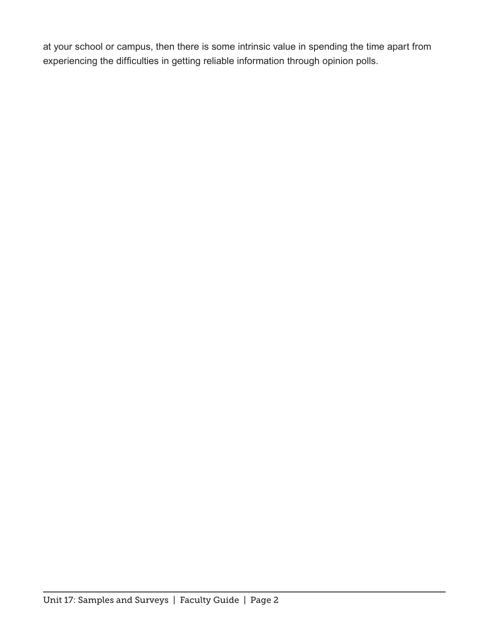at your school or campus, then there is some intrinsic value in spending the time apart from experiencing the difficulties in getting reliable information through opinion polls.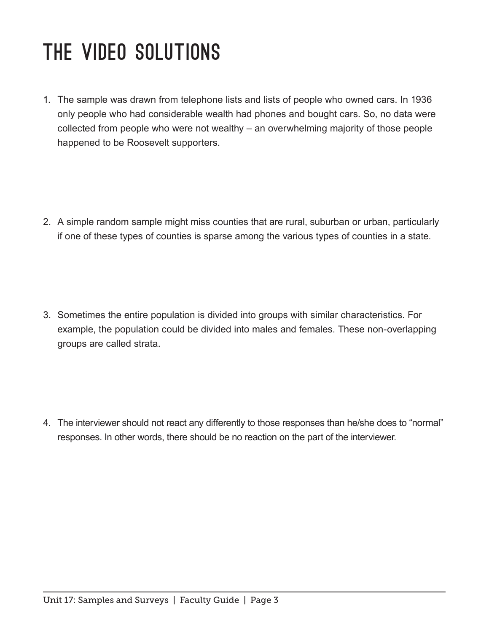## The Video Solutions

1. The sample was drawn from telephone lists and lists of people who owned cars. In 1936 only people who had considerable wealth had phones and bought cars. So, no data were collected from people who were not wealthy – an overwhelming majority of those people happened to be Roosevelt supporters.

2. A simple random sample might miss counties that are rural, suburban or urban, particularly if one of these types of counties is sparse among the various types of counties in a state.

3. Sometimes the entire population is divided into groups with similar characteristics. For example, the population could be divided into males and females. These non-overlapping groups are called strata.

4. The interviewer should not react any differently to those responses than he/she does to "normal" responses. In other words, there should be no reaction on the part of the interviewer.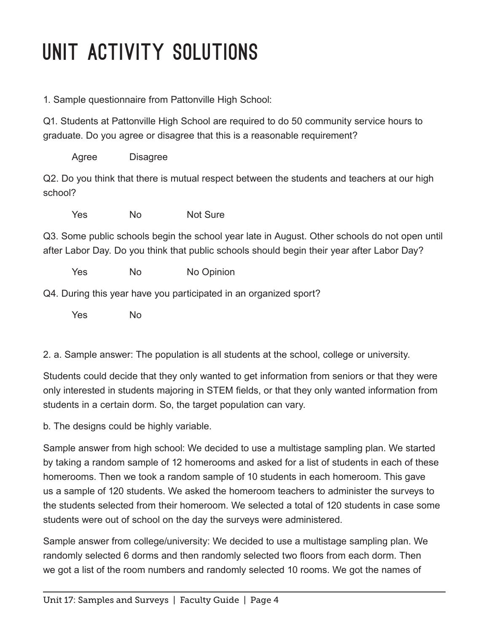## Unit Activity Solutions

1. Sample questionnaire from Pattonville High School:

Q1. Students at Pattonville High School are required to do 50 community service hours to graduate. Do you agree or disagree that this is a reasonable requirement?

Agree Disagree

Q2. Do you think that there is mutual respect between the students and teachers at our high school?

Yes No Not Sure

Q3. Some public schools begin the school year late in August. Other schools do not open until after Labor Day. Do you think that public schools should begin their year after Labor Day?

Yes No No Opinion

Q4. During this year have you participated in an organized sport?

Yes No

2. a. Sample answer: The population is all students at the school, college or university.

Students could decide that they only wanted to get information from seniors or that they were only interested in students majoring in STEM fields, or that they only wanted information from students in a certain dorm. So, the target population can vary.

b. The designs could be highly variable.

Sample answer from high school: We decided to use a multistage sampling plan. We started by taking a random sample of 12 homerooms and asked for a list of students in each of these homerooms. Then we took a random sample of 10 students in each homeroom. This gave us a sample of 120 students. We asked the homeroom teachers to administer the surveys to the students selected from their homeroom. We selected a total of 120 students in case some students were out of school on the day the surveys were administered.

Sample answer from college/university: We decided to use a multistage sampling plan. We randomly selected 6 dorms and then randomly selected two floors from each dorm. Then we got a list of the room numbers and randomly selected 10 rooms. We got the names of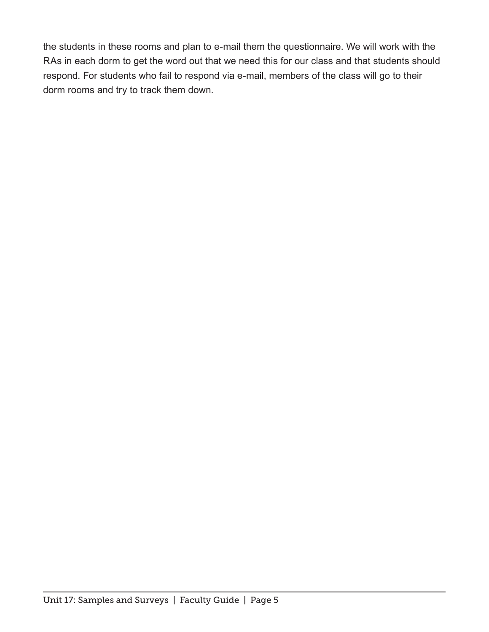the students in these rooms and plan to e-mail them the questionnaire. We will work with the RAs in each dorm to get the word out that we need this for our class and that students should respond. For students who fail to respond via e-mail, members of the class will go to their dorm rooms and try to track them down.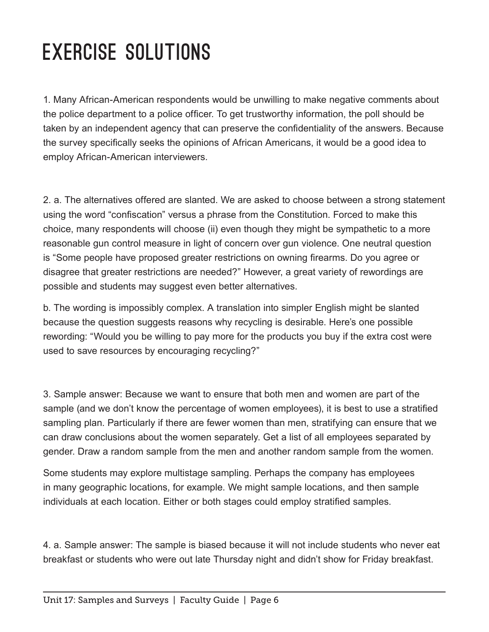### Exercise Solutions

1. Many African-American respondents would be unwilling to make negative comments about the police department to a police officer. To get trustworthy information, the poll should be taken by an independent agency that can preserve the confidentiality of the answers. Because the survey specifically seeks the opinions of African Americans, it would be a good idea to employ African-American interviewers.

2. a. The alternatives offered are slanted. We are asked to choose between a strong statement using the word "confiscation" versus a phrase from the Constitution. Forced to make this choice, many respondents will choose (ii) even though they might be sympathetic to a more reasonable gun control measure in light of concern over gun violence. One neutral question is "Some people have proposed greater restrictions on owning firearms. Do you agree or disagree that greater restrictions are needed?" However, a great variety of rewordings are possible and students may suggest even better alternatives.

b. The wording is impossibly complex. A translation into simpler English might be slanted because the question suggests reasons why recycling is desirable. Here's one possible rewording: "Would you be willing to pay more for the products you buy if the extra cost were used to save resources by encouraging recycling?"

3. Sample answer: Because we want to ensure that both men and women are part of the sample (and we don't know the percentage of women employees), it is best to use a stratified sampling plan. Particularly if there are fewer women than men, stratifying can ensure that we can draw conclusions about the women separately. Get a list of all employees separated by gender. Draw a random sample from the men and another random sample from the women.

Some students may explore multistage sampling. Perhaps the company has employees in many geographic locations, for example. We might sample locations, and then sample individuals at each location. Either or both stages could employ stratified samples.

4. a. Sample answer: The sample is biased because it will not include students who never eat breakfast or students who were out late Thursday night and didn't show for Friday breakfast.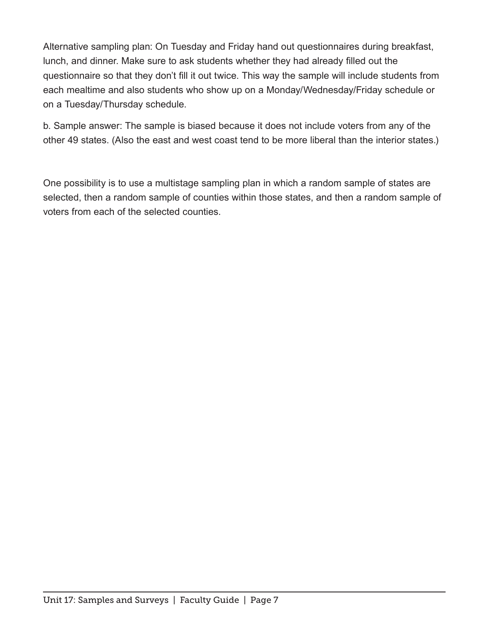Alternative sampling plan: On Tuesday and Friday hand out questionnaires during breakfast, lunch, and dinner. Make sure to ask students whether they had already filled out the questionnaire so that they don't fill it out twice. This way the sample will include students from each mealtime and also students who show up on a Monday/Wednesday/Friday schedule or on a Tuesday/Thursday schedule.

b. Sample answer: The sample is biased because it does not include voters from any of the other 49 states. (Also the east and west coast tend to be more liberal than the interior states.)

One possibility is to use a multistage sampling plan in which a random sample of states are selected, then a random sample of counties within those states, and then a random sample of voters from each of the selected counties.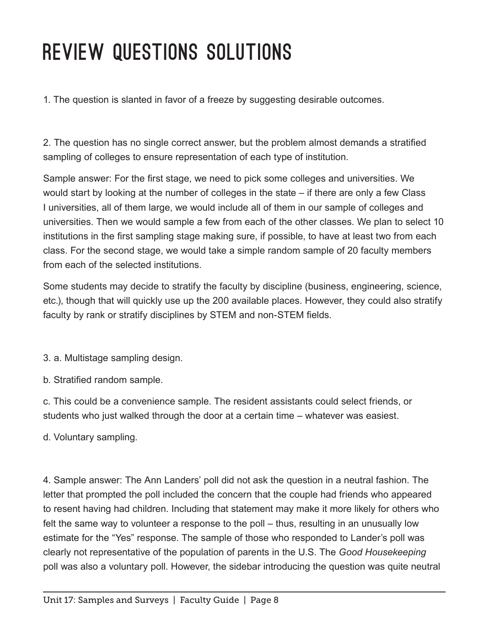### Review Questions Solutions

1. The question is slanted in favor of a freeze by suggesting desirable outcomes.

2. The question has no single correct answer, but the problem almost demands a stratified sampling of colleges to ensure representation of each type of institution.

Sample answer: For the first stage, we need to pick some colleges and universities. We would start by looking at the number of colleges in the state – if there are only a few Class I universities, all of them large, we would include all of them in our sample of colleges and universities. Then we would sample a few from each of the other classes. We plan to select 10 institutions in the first sampling stage making sure, if possible, to have at least two from each class. For the second stage, we would take a simple random sample of 20 faculty members from each of the selected institutions.

Some students may decide to stratify the faculty by discipline (business, engineering, science, etc.), though that will quickly use up the 200 available places. However, they could also stratify faculty by rank or stratify disciplines by STEM and non-STEM fields.

3. a. Multistage sampling design.

b. Stratified random sample.

c. This could be a convenience sample. The resident assistants could select friends, or students who just walked through the door at a certain time – whatever was easiest.

d. Voluntary sampling.

4. Sample answer: The Ann Landers' poll did not ask the question in a neutral fashion. The letter that prompted the poll included the concern that the couple had friends who appeared to resent having had children. Including that statement may make it more likely for others who felt the same way to volunteer a response to the poll – thus, resulting in an unusually low estimate for the "Yes" response. The sample of those who responded to Lander's poll was clearly not representative of the population of parents in the U.S. The *Good Housekeeping* poll was also a voluntary poll. However, the sidebar introducing the question was quite neutral